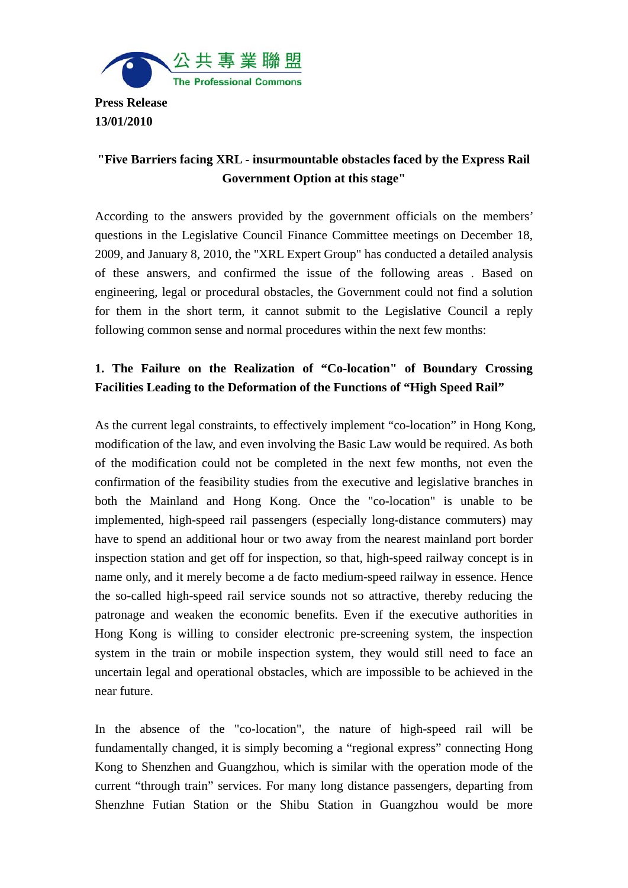

**Press Release 13/01/2010** 

## **"Five Barriers facing XRL - insurmountable obstacles faced by the Express Rail Government Option at this stage"**

According to the answers provided by the government officials on the members' questions in the Legislative Council Finance Committee meetings on December 18, 2009, and January 8, 2010, the "XRL Expert Group" has conducted a detailed analysis of these answers, and confirmed the issue of the following areas . Based on engineering, legal or procedural obstacles, the Government could not find a solution for them in the short term, it cannot submit to the Legislative Council a reply following common sense and normal procedures within the next few months:

# **1. The Failure on the Realization of "Co-location" of Boundary Crossing Facilities Leading to the Deformation of the Functions of "High Speed Rail"**

As the current legal constraints, to effectively implement "co-location" in Hong Kong, modification of the law, and even involving the Basic Law would be required. As both of the modification could not be completed in the next few months, not even the confirmation of the feasibility studies from the executive and legislative branches in both the Mainland and Hong Kong. Once the "co-location" is unable to be implemented, high-speed rail passengers (especially long-distance commuters) may have to spend an additional hour or two away from the nearest mainland port border inspection station and get off for inspection, so that, high-speed railway concept is in name only, and it merely become a de facto medium-speed railway in essence. Hence the so-called high-speed rail service sounds not so attractive, thereby reducing the patronage and weaken the economic benefits. Even if the executive authorities in Hong Kong is willing to consider electronic pre-screening system, the inspection system in the train or mobile inspection system, they would still need to face an uncertain legal and operational obstacles, which are impossible to be achieved in the near future.

In the absence of the "co-location", the nature of high-speed rail will be fundamentally changed, it is simply becoming a "regional express" connecting Hong Kong to Shenzhen and Guangzhou, which is similar with the operation mode of the current "through train" services. For many long distance passengers, departing from Shenzhne Futian Station or the Shibu Station in Guangzhou would be more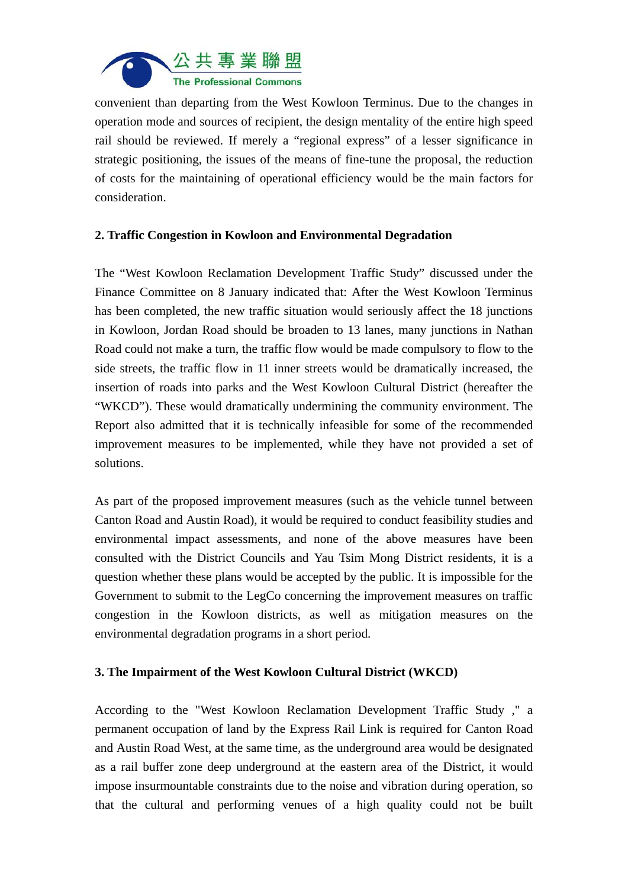

convenient than departing from the West Kowloon Terminus. Due to the changes in operation mode and sources of recipient, the design mentality of the entire high speed rail should be reviewed. If merely a "regional express" of a lesser significance in strategic positioning, the issues of the means of fine-tune the proposal, the reduction of costs for the maintaining of operational efficiency would be the main factors for consideration.

## **2. Traffic Congestion in Kowloon and Environmental Degradation**

The "West Kowloon Reclamation Development Traffic Study" discussed under the Finance Committee on 8 January indicated that: After the West Kowloon Terminus has been completed, the new traffic situation would seriously affect the 18 junctions in Kowloon, Jordan Road should be broaden to 13 lanes, many junctions in Nathan Road could not make a turn, the traffic flow would be made compulsory to flow to the side streets, the traffic flow in 11 inner streets would be dramatically increased, the insertion of roads into parks and the West Kowloon Cultural District (hereafter the "WKCD"). These would dramatically undermining the community environment. The Report also admitted that it is technically infeasible for some of the recommended improvement measures to be implemented, while they have not provided a set of solutions.

As part of the proposed improvement measures (such as the vehicle tunnel between Canton Road and Austin Road), it would be required to conduct feasibility studies and environmental impact assessments, and none of the above measures have been consulted with the District Councils and Yau Tsim Mong District residents, it is a question whether these plans would be accepted by the public. It is impossible for the Government to submit to the LegCo concerning the improvement measures on traffic congestion in the Kowloon districts, as well as mitigation measures on the environmental degradation programs in a short period.

#### **3. The Impairment of the West Kowloon Cultural District (WKCD)**

According to the "West Kowloon Reclamation Development Traffic Study ," a permanent occupation of land by the Express Rail Link is required for Canton Road and Austin Road West, at the same time, as the underground area would be designated as a rail buffer zone deep underground at the eastern area of the District, it would impose insurmountable constraints due to the noise and vibration during operation, so that the cultural and performing venues of a high quality could not be built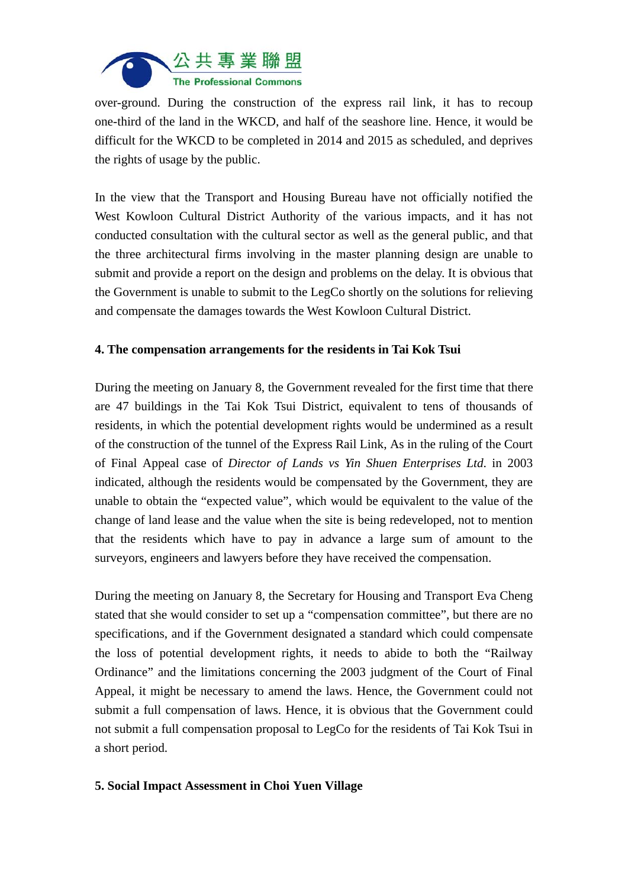

over-ground. During the construction of the express rail link, it has to recoup one-third of the land in the WKCD, and half of the seashore line. Hence, it would be difficult for the WKCD to be completed in 2014 and 2015 as scheduled, and deprives the rights of usage by the public.

In the view that the Transport and Housing Bureau have not officially notified the West Kowloon Cultural District Authority of the various impacts, and it has not conducted consultation with the cultural sector as well as the general public, and that the three architectural firms involving in the master planning design are unable to submit and provide a report on the design and problems on the delay. It is obvious that the Government is unable to submit to the LegCo shortly on the solutions for relieving and compensate the damages towards the West Kowloon Cultural District.

## **4. The compensation arrangements for the residents in Tai Kok Tsui**

During the meeting on January 8, the Government revealed for the first time that there are 47 buildings in the Tai Kok Tsui District, equivalent to tens of thousands of residents, in which the potential development rights would be undermined as a result of the construction of the tunnel of the Express Rail Link, As in the ruling of the Court of Final Appeal case of *Director of Lands vs Yin Shuen Enterprises Ltd*. in 2003 indicated, although the residents would be compensated by the Government, they are unable to obtain the "expected value", which would be equivalent to the value of the change of land lease and the value when the site is being redeveloped, not to mention that the residents which have to pay in advance a large sum of amount to the surveyors, engineers and lawyers before they have received the compensation.

During the meeting on January 8, the Secretary for Housing and Transport Eva Cheng stated that she would consider to set up a "compensation committee", but there are no specifications, and if the Government designated a standard which could compensate the loss of potential development rights, it needs to abide to both the "Railway Ordinance" and the limitations concerning the 2003 judgment of the Court of Final Appeal, it might be necessary to amend the laws. Hence, the Government could not submit a full compensation of laws. Hence, it is obvious that the Government could not submit a full compensation proposal to LegCo for the residents of Tai Kok Tsui in a short period.

#### **5. Social Impact Assessment in Choi Yuen Village**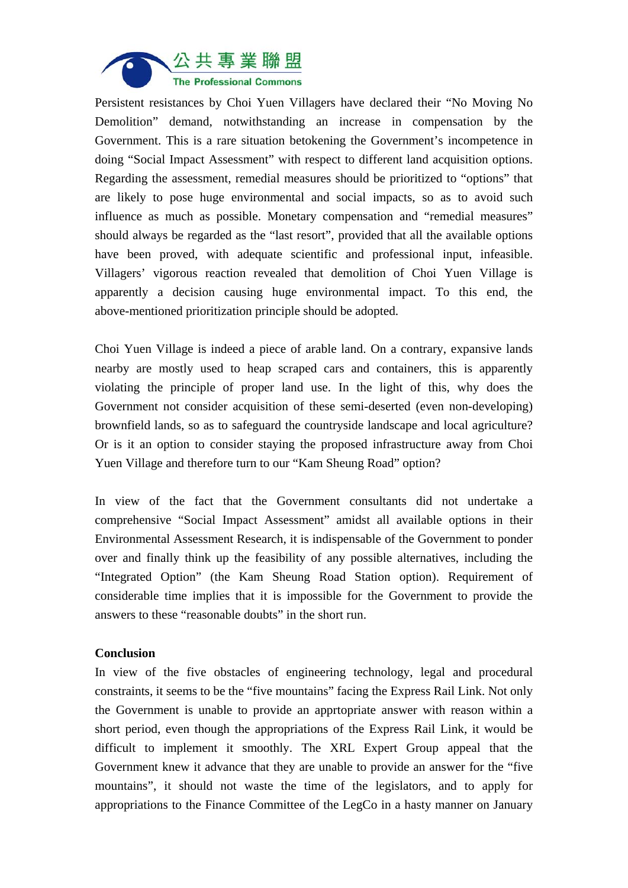

Persistent resistances by Choi Yuen Villagers have declared their "No Moving No Demolition" demand, notwithstanding an increase in compensation by the Government. This is a rare situation betokening the Government's incompetence in doing "Social Impact Assessment" with respect to different land acquisition options. Regarding the assessment, remedial measures should be prioritized to "options" that are likely to pose huge environmental and social impacts, so as to avoid such influence as much as possible. Monetary compensation and "remedial measures" should always be regarded as the "last resort", provided that all the available options have been proved, with adequate scientific and professional input, infeasible. Villagers' vigorous reaction revealed that demolition of Choi Yuen Village is apparently a decision causing huge environmental impact. To this end, the above-mentioned prioritization principle should be adopted.

Choi Yuen Village is indeed a piece of arable land. On a contrary, expansive lands nearby are mostly used to heap scraped cars and containers, this is apparently violating the principle of proper land use. In the light of this, why does the Government not consider acquisition of these semi-deserted (even non-developing) brownfield lands, so as to safeguard the countryside landscape and local agriculture? Or is it an option to consider staying the proposed infrastructure away from Choi Yuen Village and therefore turn to our "Kam Sheung Road" option?

In view of the fact that the Government consultants did not undertake a comprehensive "Social Impact Assessment" amidst all available options in their Environmental Assessment Research, it is indispensable of the Government to ponder over and finally think up the feasibility of any possible alternatives, including the "Integrated Option" (the Kam Sheung Road Station option). Requirement of considerable time implies that it is impossible for the Government to provide the answers to these "reasonable doubts" in the short run.

#### **Conclusion**

In view of the five obstacles of engineering technology, legal and procedural constraints, it seems to be the "five mountains" facing the Express Rail Link. Not only the Government is unable to provide an apprtopriate answer with reason within a short period, even though the appropriations of the Express Rail Link, it would be difficult to implement it smoothly. The XRL Expert Group appeal that the Government knew it advance that they are unable to provide an answer for the "five mountains", it should not waste the time of the legislators, and to apply for appropriations to the Finance Committee of the LegCo in a hasty manner on January